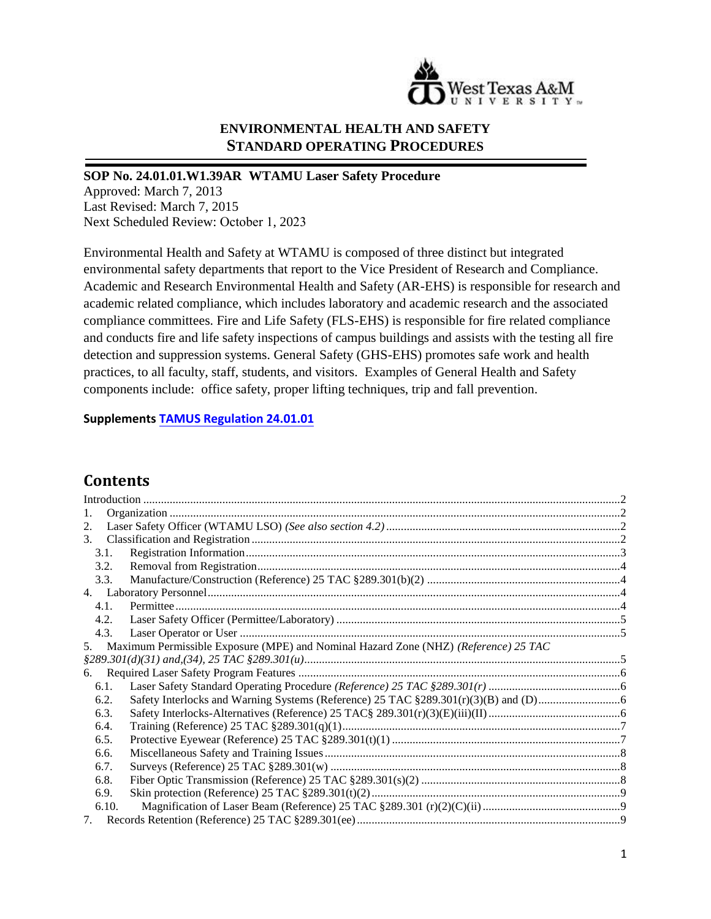

#### **ENVIRONMENTAL HEALTH AND SAFETY STANDARD OPERATING PROCEDURES**

#### **SOP No. 24.01.01.W1.39AR WTAMU Laser Safety Procedure**

Approved: March 7, 2013 Last Revised: March 7, 2015 Next Scheduled Review: October 1, 2023

Environmental Health and Safety at WTAMU is composed of three distinct but integrated environmental safety departments that report to the Vice President of Research and Compliance. Academic and Research Environmental Health and Safety (AR-EHS) is responsible for research and academic related compliance, which includes laboratory and academic research and the associated compliance committees. Fire and Life Safety (FLS-EHS) is responsible for fire related compliance and conducts fire and life safety inspections of campus buildings and assists with the testing all fire detection and suppression systems. General Safety (GHS-EHS) promotes safe work and health practices, to all faculty, staff, students, and visitors. Examples of General Health and Safety components include: office safety, proper lifting techniques, trip and fall prevention.

**Supplements [TAMUS Regulation 24.01.01](http://policies.tamus.edu/24-01-01.pdf)**

# **Contents**

| 1.            |                                                                                     |  |  |
|---------------|-------------------------------------------------------------------------------------|--|--|
| 2.            |                                                                                     |  |  |
| $\mathcal{E}$ |                                                                                     |  |  |
| 3.1.          |                                                                                     |  |  |
| 3.2.          |                                                                                     |  |  |
| 3.3.          |                                                                                     |  |  |
|               |                                                                                     |  |  |
| 4.1.          |                                                                                     |  |  |
| 4.2.          |                                                                                     |  |  |
| 4.3.          |                                                                                     |  |  |
| 5.            | Maximum Permissible Exposure (MPE) and Nominal Hazard Zone (NHZ) (Reference) 25 TAC |  |  |
|               |                                                                                     |  |  |
| 6.            |                                                                                     |  |  |
| 6.1.          |                                                                                     |  |  |
| 6.2.          |                                                                                     |  |  |
| 6.3.          |                                                                                     |  |  |
| 6.4.          |                                                                                     |  |  |
| 6.5.          |                                                                                     |  |  |
| 6.6.          |                                                                                     |  |  |
| 6.7.          |                                                                                     |  |  |
| 6.8.          |                                                                                     |  |  |
| 6.9.          |                                                                                     |  |  |
| 6.10.         |                                                                                     |  |  |
| 7.            |                                                                                     |  |  |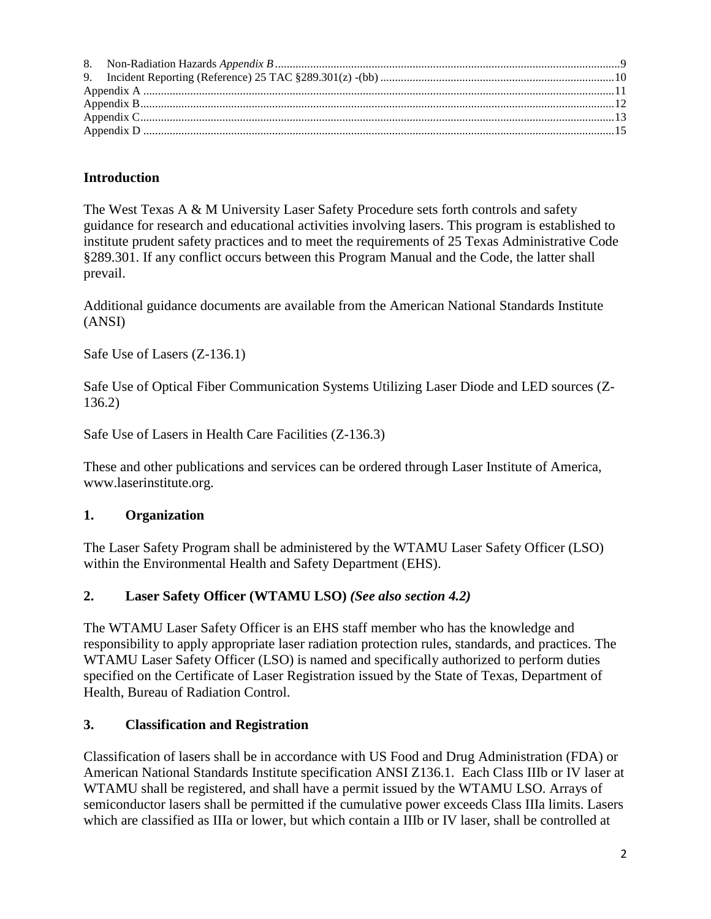## <span id="page-1-0"></span>**Introduction**

The West Texas A & M University Laser Safety Procedure sets forth controls and safety guidance for research and educational activities involving lasers. This program is established to institute prudent safety practices and to meet the requirements of 25 Texas Administrative Code §289.301. If any conflict occurs between this Program Manual and the Code, the latter shall prevail.

Additional guidance documents are available from the American National Standards Institute (ANSI)

Safe Use of Lasers (Z-136.1)

Safe Use of Optical Fiber Communication Systems Utilizing Laser Diode and LED sources (Z-136.2)

Safe Use of Lasers in Health Care Facilities (Z-136.3)

These and other publications and services can be ordered through Laser Institute of America, www.laserinstitute.org.

# <span id="page-1-1"></span>**1. Organization**

The Laser Safety Program shall be administered by the WTAMU Laser Safety Officer (LSO) within the Environmental Health and Safety Department (EHS).

# <span id="page-1-2"></span>**2. Laser Safety Officer (WTAMU LSO)** *(See also section 4.2)*

The WTAMU Laser Safety Officer is an EHS staff member who has the knowledge and responsibility to apply appropriate laser radiation protection rules, standards, and practices. The WTAMU Laser Safety Officer (LSO) is named and specifically authorized to perform duties specified on the Certificate of Laser Registration issued by the State of Texas, Department of Health, Bureau of Radiation Control.

# <span id="page-1-3"></span>**3. Classification and Registration**

Classification of lasers shall be in accordance with US Food and Drug Administration (FDA) or American National Standards Institute specification ANSI Z136.1. Each Class IIIb or IV laser at WTAMU shall be registered, and shall have a permit issued by the WTAMU LSO. Arrays of semiconductor lasers shall be permitted if the cumulative power exceeds Class IIIa limits. Lasers which are classified as IIIa or lower, but which contain a IIIb or IV laser, shall be controlled at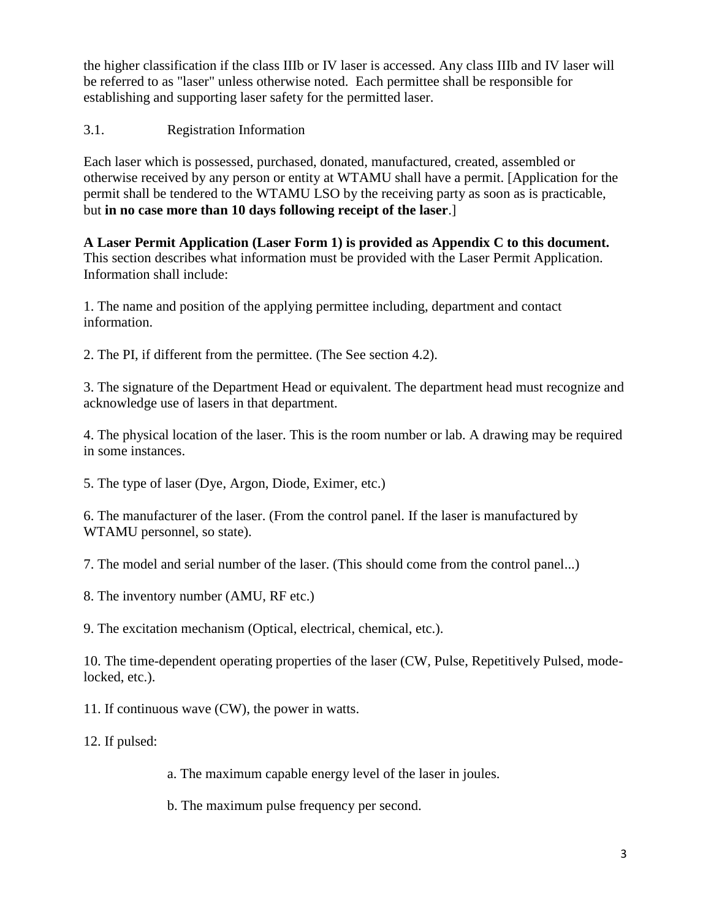the higher classification if the class IIIb or IV laser is accessed. Any class IIIb and IV laser will be referred to as "laser" unless otherwise noted. Each permittee shall be responsible for establishing and supporting laser safety for the permitted laser.

#### <span id="page-2-0"></span>3.1. Registration Information

Each laser which is possessed, purchased, donated, manufactured, created, assembled or otherwise received by any person or entity at WTAMU shall have a permit. [Application for the permit shall be tendered to the WTAMU LSO by the receiving party as soon as is practicable, but **in no case more than 10 days following receipt of the laser**.]

**A Laser Permit Application (Laser Form 1) is provided as Appendix C to this document.** This section describes what information must be provided with the Laser Permit Application. Information shall include:

1. The name and position of the applying permittee including, department and contact information.

2. The PI, if different from the permittee. (The See section 4.2).

3. The signature of the Department Head or equivalent. The department head must recognize and acknowledge use of lasers in that department.

4. The physical location of the laser. This is the room number or lab. A drawing may be required in some instances.

5. The type of laser (Dye, Argon, Diode, Eximer, etc.)

6. The manufacturer of the laser. (From the control panel. If the laser is manufactured by WTAMU personnel, so state).

7. The model and serial number of the laser. (This should come from the control panel...)

8. The inventory number (AMU, RF etc.)

9. The excitation mechanism (Optical, electrical, chemical, etc.).

10. The time-dependent operating properties of the laser (CW, Pulse, Repetitively Pulsed, modelocked, etc.).

11. If continuous wave (CW), the power in watts.

12. If pulsed:

a. The maximum capable energy level of the laser in joules.

b. The maximum pulse frequency per second.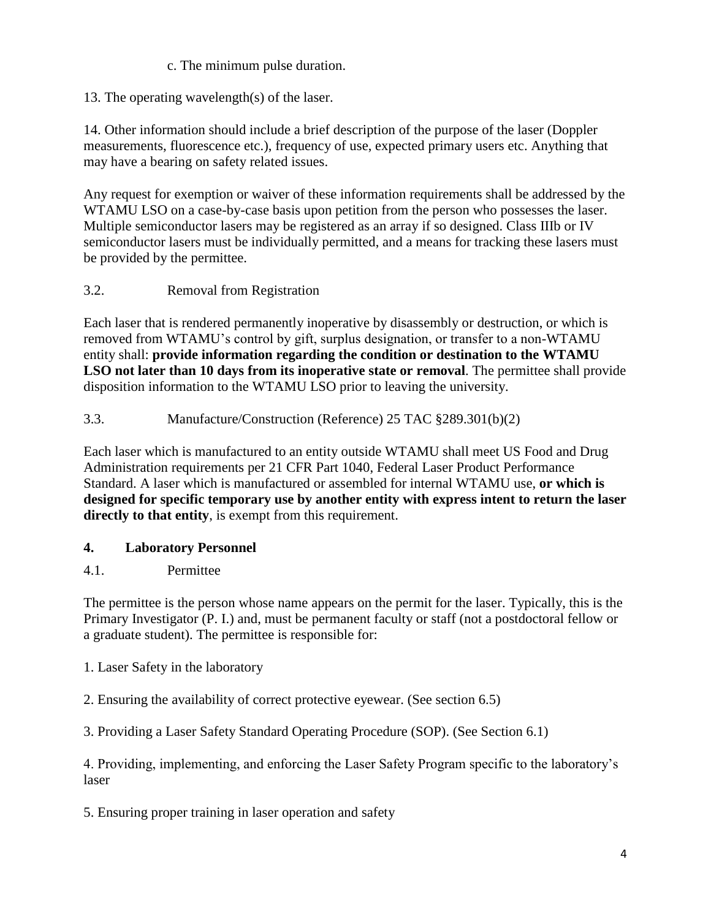# c. The minimum pulse duration.

13. The operating wavelength(s) of the laser.

14. Other information should include a brief description of the purpose of the laser (Doppler measurements, fluorescence etc.), frequency of use, expected primary users etc. Anything that may have a bearing on safety related issues.

Any request for exemption or waiver of these information requirements shall be addressed by the WTAMU LSO on a case-by-case basis upon petition from the person who possesses the laser. Multiple semiconductor lasers may be registered as an array if so designed. Class IIIb or IV semiconductor lasers must be individually permitted, and a means for tracking these lasers must be provided by the permittee.

# <span id="page-3-0"></span>3.2. Removal from Registration

Each laser that is rendered permanently inoperative by disassembly or destruction, or which is removed from WTAMU's control by gift, surplus designation, or transfer to a non-WTAMU entity shall: **provide information regarding the condition or destination to the WTAMU LSO not later than 10 days from its inoperative state or removal**. The permittee shall provide disposition information to the WTAMU LSO prior to leaving the university.

# <span id="page-3-1"></span>3.3. Manufacture/Construction (Reference) 25 TAC §289.301(b)(2)

Each laser which is manufactured to an entity outside WTAMU shall meet US Food and Drug Administration requirements per 21 CFR Part 1040, Federal Laser Product Performance Standard. A laser which is manufactured or assembled for internal WTAMU use, **or which is designed for specific temporary use by another entity with express intent to return the laser directly to that entity**, is exempt from this requirement.

# <span id="page-3-2"></span>**4. Laboratory Personnel**

# <span id="page-3-3"></span>4.1. Permittee

The permittee is the person whose name appears on the permit for the laser. Typically, this is the Primary Investigator (P. I.) and, must be permanent faculty or staff (not a postdoctoral fellow or a graduate student). The permittee is responsible for:

- 1. Laser Safety in the laboratory
- 2. Ensuring the availability of correct protective eyewear. (See section 6.5)
- 3. Providing a Laser Safety Standard Operating Procedure (SOP). (See Section 6.1)

4. Providing, implementing, and enforcing the Laser Safety Program specific to the laboratory's laser

5. Ensuring proper training in laser operation and safety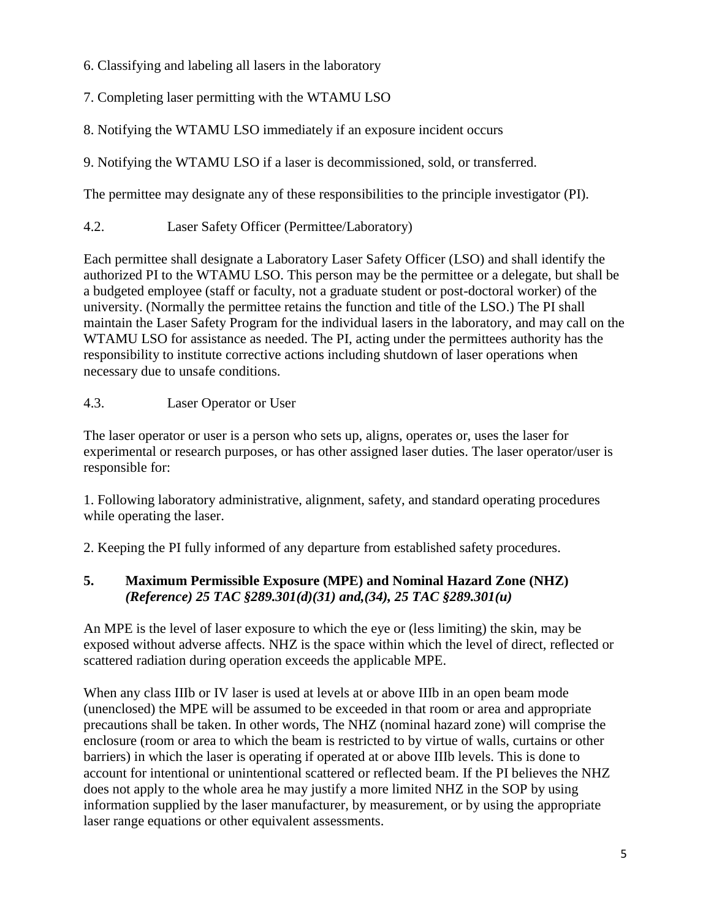6. Classifying and labeling all lasers in the laboratory

7. Completing laser permitting with the WTAMU LSO

8. Notifying the WTAMU LSO immediately if an exposure incident occurs

9. Notifying the WTAMU LSO if a laser is decommissioned, sold, or transferred.

The permittee may designate any of these responsibilities to the principle investigator (PI).

<span id="page-4-0"></span>4.2. Laser Safety Officer (Permittee/Laboratory)

Each permittee shall designate a Laboratory Laser Safety Officer (LSO) and shall identify the authorized PI to the WTAMU LSO. This person may be the permittee or a delegate, but shall be a budgeted employee (staff or faculty, not a graduate student or post-doctoral worker) of the university. (Normally the permittee retains the function and title of the LSO.) The PI shall maintain the Laser Safety Program for the individual lasers in the laboratory, and may call on the WTAMU LSO for assistance as needed. The PI, acting under the permittees authority has the responsibility to institute corrective actions including shutdown of laser operations when necessary due to unsafe conditions.

# <span id="page-4-1"></span>4.3. Laser Operator or User

The laser operator or user is a person who sets up, aligns, operates or, uses the laser for experimental or research purposes, or has other assigned laser duties. The laser operator/user is responsible for:

1. Following laboratory administrative, alignment, safety, and standard operating procedures while operating the laser.

2. Keeping the PI fully informed of any departure from established safety procedures.

# <span id="page-4-2"></span>**5. Maximum Permissible Exposure (MPE) and Nominal Hazard Zone (NHZ)**  *(Reference) 25 TAC §289.301(d)(31) and,(34), 25 TAC §289.301(u)*

An MPE is the level of laser exposure to which the eye or (less limiting) the skin, may be exposed without adverse affects. NHZ is the space within which the level of direct, reflected or scattered radiation during operation exceeds the applicable MPE.

When any class IIIb or IV laser is used at levels at or above IIIb in an open beam mode (unenclosed) the MPE will be assumed to be exceeded in that room or area and appropriate precautions shall be taken. In other words, The NHZ (nominal hazard zone) will comprise the enclosure (room or area to which the beam is restricted to by virtue of walls, curtains or other barriers) in which the laser is operating if operated at or above IIIb levels. This is done to account for intentional or unintentional scattered or reflected beam. If the PI believes the NHZ does not apply to the whole area he may justify a more limited NHZ in the SOP by using information supplied by the laser manufacturer, by measurement, or by using the appropriate laser range equations or other equivalent assessments.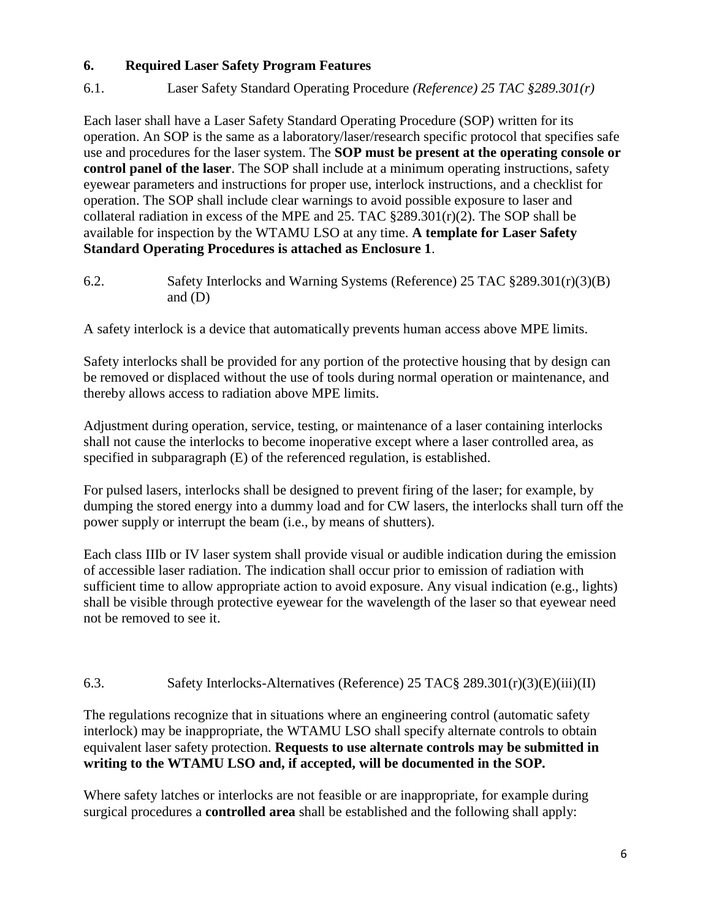## <span id="page-5-0"></span>**6. Required Laser Safety Program Features**

# <span id="page-5-1"></span>6.1. Laser Safety Standard Operating Procedure *(Reference) 25 TAC §289.301(r)*

Each laser shall have a Laser Safety Standard Operating Procedure (SOP) written for its operation. An SOP is the same as a laboratory/laser/research specific protocol that specifies safe use and procedures for the laser system. The **SOP must be present at the operating console or control panel of the laser**. The SOP shall include at a minimum operating instructions, safety eyewear parameters and instructions for proper use, interlock instructions, and a checklist for operation. The SOP shall include clear warnings to avoid possible exposure to laser and collateral radiation in excess of the MPE and 25. TAC §289.301(r)(2). The SOP shall be available for inspection by the WTAMU LSO at any time. **A template for Laser Safety Standard Operating Procedures is attached as Enclosure 1**.

<span id="page-5-2"></span>6.2. Safety Interlocks and Warning Systems (Reference) 25 TAC §289.301(r)(3)(B) and (D)

A safety interlock is a device that automatically prevents human access above MPE limits.

Safety interlocks shall be provided for any portion of the protective housing that by design can be removed or displaced without the use of tools during normal operation or maintenance, and thereby allows access to radiation above MPE limits.

Adjustment during operation, service, testing, or maintenance of a laser containing interlocks shall not cause the interlocks to become inoperative except where a laser controlled area, as specified in subparagraph (E) of the referenced regulation, is established.

For pulsed lasers, interlocks shall be designed to prevent firing of the laser; for example, by dumping the stored energy into a dummy load and for CW lasers, the interlocks shall turn off the power supply or interrupt the beam (i.e., by means of shutters).

Each class IIIb or IV laser system shall provide visual or audible indication during the emission of accessible laser radiation. The indication shall occur prior to emission of radiation with sufficient time to allow appropriate action to avoid exposure. Any visual indication (e.g., lights) shall be visible through protective eyewear for the wavelength of the laser so that eyewear need not be removed to see it.

#### <span id="page-5-3"></span>6.3. Safety Interlocks-Alternatives (Reference) 25 TAC§ 289.301(r)(3)(E)(iii)(II)

The regulations recognize that in situations where an engineering control (automatic safety interlock) may be inappropriate, the WTAMU LSO shall specify alternate controls to obtain equivalent laser safety protection. **Requests to use alternate controls may be submitted in writing to the WTAMU LSO and, if accepted, will be documented in the SOP.**

Where safety latches or interlocks are not feasible or are inappropriate, for example during surgical procedures a **controlled area** shall be established and the following shall apply: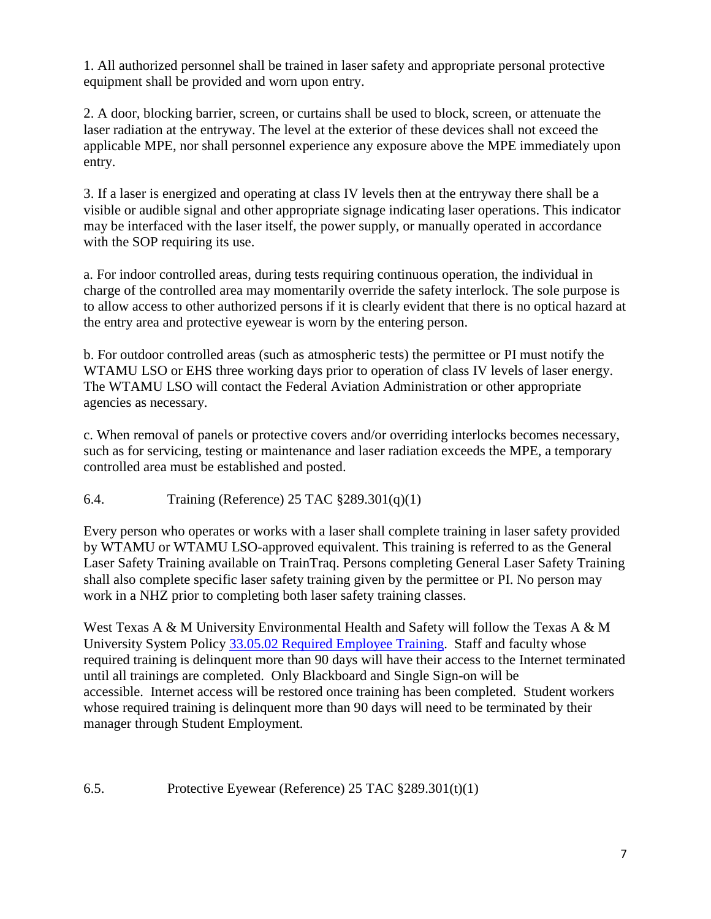1. All authorized personnel shall be trained in laser safety and appropriate personal protective equipment shall be provided and worn upon entry.

2. A door, blocking barrier, screen, or curtains shall be used to block, screen, or attenuate the laser radiation at the entryway. The level at the exterior of these devices shall not exceed the applicable MPE, nor shall personnel experience any exposure above the MPE immediately upon entry.

3. If a laser is energized and operating at class IV levels then at the entryway there shall be a visible or audible signal and other appropriate signage indicating laser operations. This indicator may be interfaced with the laser itself, the power supply, or manually operated in accordance with the SOP requiring its use.

a. For indoor controlled areas, during tests requiring continuous operation, the individual in charge of the controlled area may momentarily override the safety interlock. The sole purpose is to allow access to other authorized persons if it is clearly evident that there is no optical hazard at the entry area and protective eyewear is worn by the entering person.

b. For outdoor controlled areas (such as atmospheric tests) the permittee or PI must notify the WTAMU LSO or EHS three working days prior to operation of class IV levels of laser energy. The WTAMU LSO will contact the Federal Aviation Administration or other appropriate agencies as necessary.

c. When removal of panels or protective covers and/or overriding interlocks becomes necessary, such as for servicing, testing or maintenance and laser radiation exceeds the MPE, a temporary controlled area must be established and posted.

<span id="page-6-0"></span>6.4. Training (Reference) 25 TAC §289.301(q)(1)

Every person who operates or works with a laser shall complete training in laser safety provided by WTAMU or WTAMU LSO-approved equivalent. This training is referred to as the General Laser Safety Training available on TrainTraq. Persons completing General Laser Safety Training shall also complete specific laser safety training given by the permittee or PI. No person may work in a NHZ prior to completing both laser safety training classes.

West Texas A & M University Environmental Health and Safety will follow the Texas A  $\&$  M University System Policy [33.05.02 Required Employee Training.](http://policies.tamus.edu/33-05-02.pdf) Staff and faculty whose required training is delinquent more than 90 days will have their access to the Internet terminated until all trainings are completed. Only Blackboard and Single Sign-on will be accessible. Internet access will be restored once training has been completed. Student workers whose required training is delinquent more than 90 days will need to be terminated by their manager through Student Employment.

# <span id="page-6-1"></span>6.5. Protective Eyewear (Reference) 25 TAC §289.301(t)(1)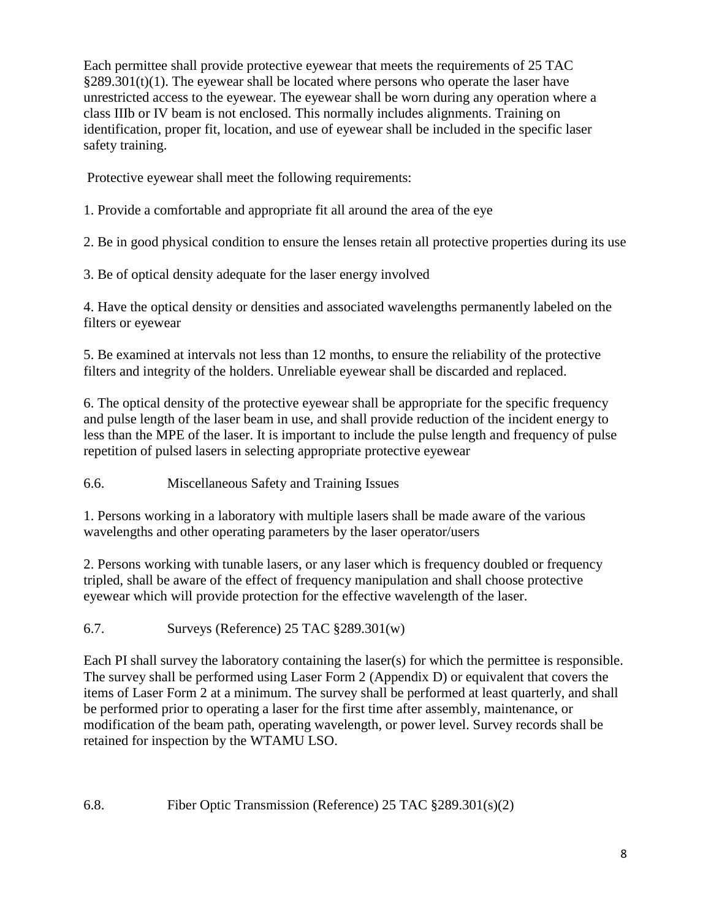Each permittee shall provide protective eyewear that meets the requirements of 25 TAC  $§289.301(t)(1)$ . The eyewear shall be located where persons who operate the laser have unrestricted access to the eyewear. The eyewear shall be worn during any operation where a class IIIb or IV beam is not enclosed. This normally includes alignments. Training on identification, proper fit, location, and use of eyewear shall be included in the specific laser safety training.

Protective eyewear shall meet the following requirements:

1. Provide a comfortable and appropriate fit all around the area of the eye

2. Be in good physical condition to ensure the lenses retain all protective properties during its use

3. Be of optical density adequate for the laser energy involved

4. Have the optical density or densities and associated wavelengths permanently labeled on the filters or eyewear

5. Be examined at intervals not less than 12 months, to ensure the reliability of the protective filters and integrity of the holders. Unreliable eyewear shall be discarded and replaced.

6. The optical density of the protective eyewear shall be appropriate for the specific frequency and pulse length of the laser beam in use, and shall provide reduction of the incident energy to less than the MPE of the laser. It is important to include the pulse length and frequency of pulse repetition of pulsed lasers in selecting appropriate protective eyewear

<span id="page-7-0"></span>6.6. Miscellaneous Safety and Training Issues

1. Persons working in a laboratory with multiple lasers shall be made aware of the various wavelengths and other operating parameters by the laser operator/users

2. Persons working with tunable lasers, or any laser which is frequency doubled or frequency tripled, shall be aware of the effect of frequency manipulation and shall choose protective eyewear which will provide protection for the effective wavelength of the laser.

<span id="page-7-1"></span>6.7. Surveys (Reference) 25 TAC §289.301(w)

Each PI shall survey the laboratory containing the laser(s) for which the permittee is responsible. The survey shall be performed using Laser Form 2 (Appendix D) or equivalent that covers the items of Laser Form 2 at a minimum. The survey shall be performed at least quarterly, and shall be performed prior to operating a laser for the first time after assembly, maintenance, or modification of the beam path, operating wavelength, or power level. Survey records shall be retained for inspection by the WTAMU LSO.

#### <span id="page-7-2"></span>6.8. Fiber Optic Transmission (Reference) 25 TAC §289.301(s)(2)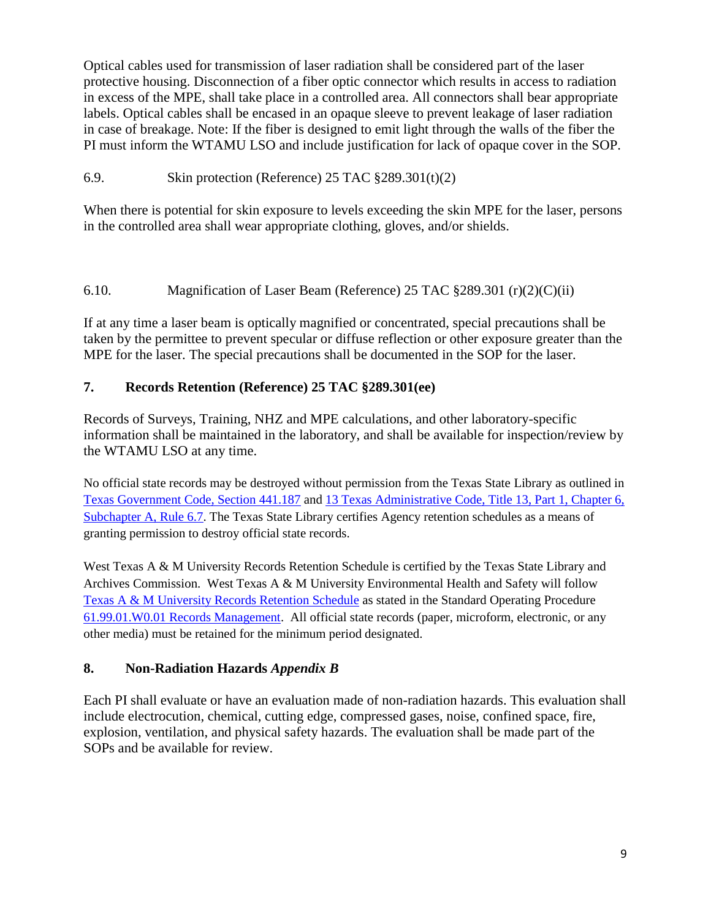Optical cables used for transmission of laser radiation shall be considered part of the laser protective housing. Disconnection of a fiber optic connector which results in access to radiation in excess of the MPE, shall take place in a controlled area. All connectors shall bear appropriate labels. Optical cables shall be encased in an opaque sleeve to prevent leakage of laser radiation in case of breakage. Note: If the fiber is designed to emit light through the walls of the fiber the PI must inform the WTAMU LSO and include justification for lack of opaque cover in the SOP.

<span id="page-8-0"></span>6.9. Skin protection (Reference) 25 TAC §289.301(t)(2)

When there is potential for skin exposure to levels exceeding the skin MPE for the laser, persons in the controlled area shall wear appropriate clothing, gloves, and/or shields.

# <span id="page-8-1"></span>6.10. Magnification of Laser Beam (Reference) 25 TAC §289.301 (r)(2)(C)(ii)

If at any time a laser beam is optically magnified or concentrated, special precautions shall be taken by the permittee to prevent specular or diffuse reflection or other exposure greater than the MPE for the laser. The special precautions shall be documented in the SOP for the laser.

# <span id="page-8-2"></span>**7. Records Retention (Reference) 25 TAC §289.301(ee)**

Records of Surveys, Training, NHZ and MPE calculations, and other laboratory-specific information shall be maintained in the laboratory, and shall be available for inspection/review by the WTAMU LSO at any time.

No official state records may be destroyed without permission from the Texas State Library as outlined in [Texas Government Code, Section 441.187](http://www.statutes.legis.state.tx.us/?link=GV) and [13 Texas Administrative Code, Title 13, Part 1, Chapter 6,](http://info.sos.state.tx.us/pls/pub/readtac$ext.TacPage?sl=R&app=9&p_dir=&p_rloc=&p_tloc=&p_ploc=&pg=1&p_tac=&ti=13&pt=1&ch=6&rl=7U)  [Subchapter A, Rule 6.7.](http://info.sos.state.tx.us/pls/pub/readtac$ext.TacPage?sl=R&app=9&p_dir=&p_rloc=&p_tloc=&p_ploc=&pg=1&p_tac=&ti=13&pt=1&ch=6&rl=7U) The Texas State Library certifies Agency retention schedules as a means of granting permission to destroy official state records.

West Texas A & M University Records Retention Schedule is certified by the Texas State Library and Archives Commission. West Texas A & M University Environmental Health and Safety will follow [Texas A & M University Records Retention Schedule](http://www.wtamu.edu/webres/File/Risk%20Management/System-Records-Retention-Schedule-Dec2012.pdf) as stated in the Standard Operating Procedure [61.99.01.W0.01 Records Management.](http://www.wtamu.edu/webres/File/Risk%20Management/61.99.01.W0.01_PROCEDURE_Records%20Management_FINAL%20SIGNED.pdf) All official state records (paper, microform, electronic, or any other media) must be retained for the minimum period designated.

# <span id="page-8-3"></span>**8. Non-Radiation Hazards** *Appendix B*

Each PI shall evaluate or have an evaluation made of non-radiation hazards. This evaluation shall include electrocution, chemical, cutting edge, compressed gases, noise, confined space, fire, explosion, ventilation, and physical safety hazards. The evaluation shall be made part of the SOPs and be available for review.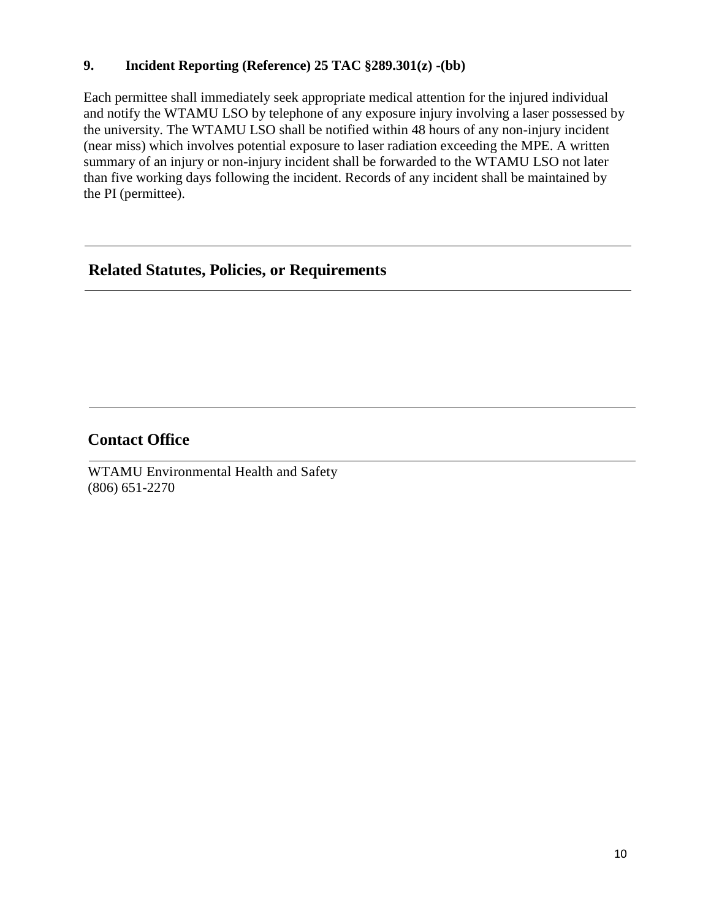#### <span id="page-9-0"></span>**9. Incident Reporting (Reference) 25 TAC §289.301(z) -(bb)**

Each permittee shall immediately seek appropriate medical attention for the injured individual and notify the WTAMU LSO by telephone of any exposure injury involving a laser possessed by the university. The WTAMU LSO shall be notified within 48 hours of any non-injury incident (near miss) which involves potential exposure to laser radiation exceeding the MPE. A written summary of an injury or non-injury incident shall be forwarded to the WTAMU LSO not later than five working days following the incident. Records of any incident shall be maintained by the PI (permittee).

# **Related Statutes, Policies, or Requirements**

# **Contact Office**

WTAMU Environmental Health and Safety (806) 651-2270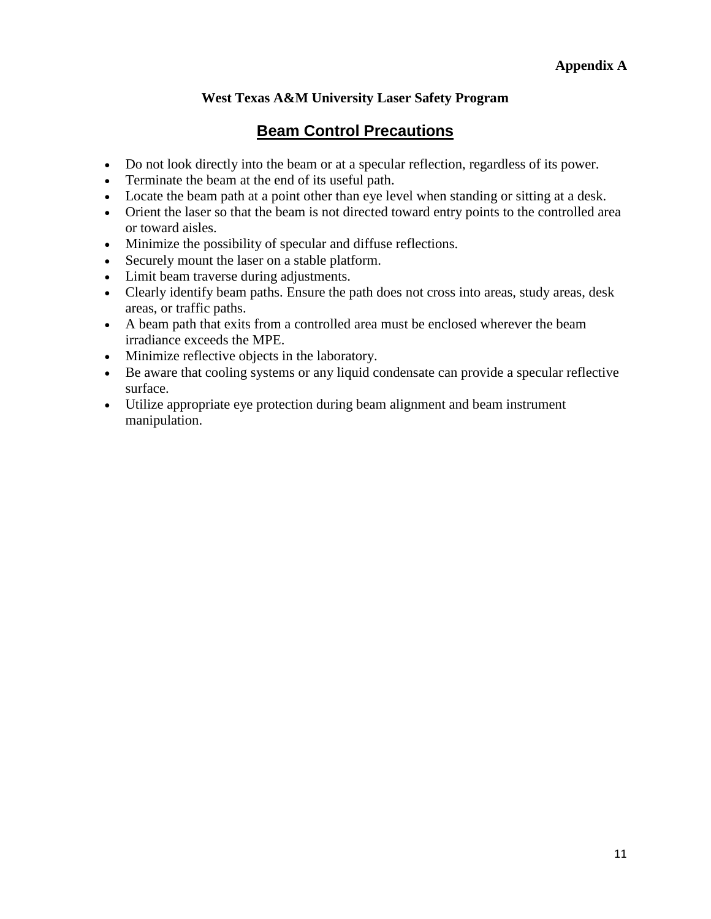# **West Texas A&M University Laser Safety Program**

# **Beam Control Precautions**

- <span id="page-10-0"></span>Do not look directly into the beam or at a specular reflection, regardless of its power.
- Terminate the beam at the end of its useful path.
- Locate the beam path at a point other than eye level when standing or sitting at a desk.
- Orient the laser so that the beam is not directed toward entry points to the controlled area or toward aisles.
- Minimize the possibility of specular and diffuse reflections.
- Securely mount the laser on a stable platform.
- Limit beam traverse during adjustments.
- Clearly identify beam paths. Ensure the path does not cross into areas, study areas, desk areas, or traffic paths.
- A beam path that exits from a controlled area must be enclosed wherever the beam irradiance exceeds the MPE.
- Minimize reflective objects in the laboratory.
- Be aware that cooling systems or any liquid condensate can provide a specular reflective surface.
- Utilize appropriate eye protection during beam alignment and beam instrument manipulation.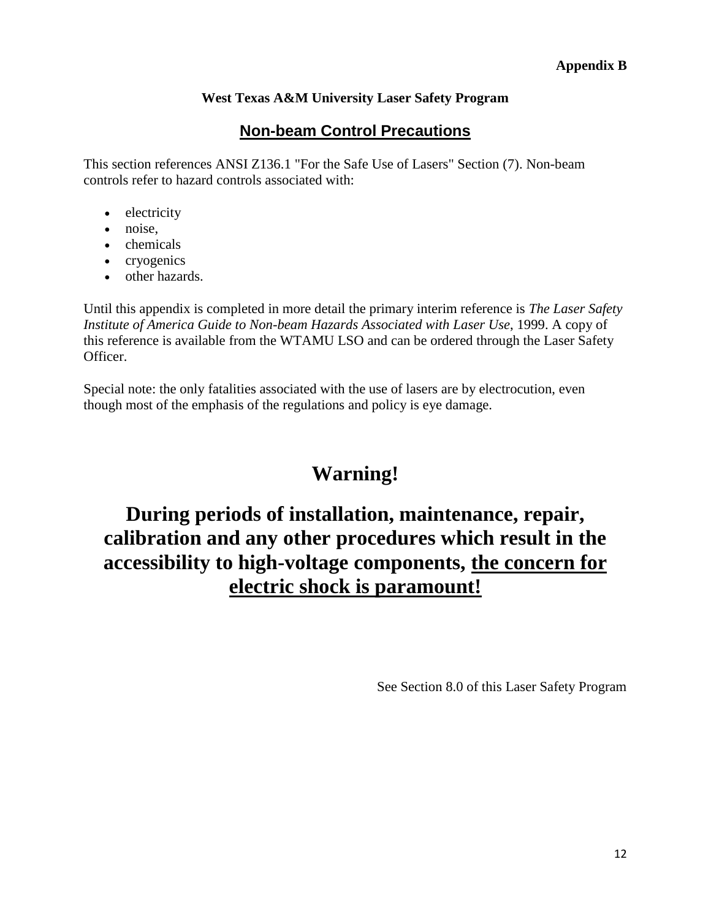## **West Texas A&M University Laser Safety Program**

# **Non-beam Control Precautions**

<span id="page-11-0"></span>This section references ANSI Z136.1 "For the Safe Use of Lasers" Section (7). Non-beam controls refer to hazard controls associated with:

- electricity
- noise,
- chemicals
- cryogenics
- other hazards.

Until this appendix is completed in more detail the primary interim reference is *The Laser Safety Institute of America Guide to Non-beam Hazards Associated with Laser Use*, 1999. A copy of this reference is available from the WTAMU LSO and can be ordered through the Laser Safety Officer.

Special note: the only fatalities associated with the use of lasers are by electrocution, even though most of the emphasis of the regulations and policy is eye damage.

# **Warning!**

# **During periods of installation, maintenance, repair, calibration and any other procedures which result in the accessibility to high-voltage components, the concern for electric shock is paramount!**

See Section 8.0 of this Laser Safety Program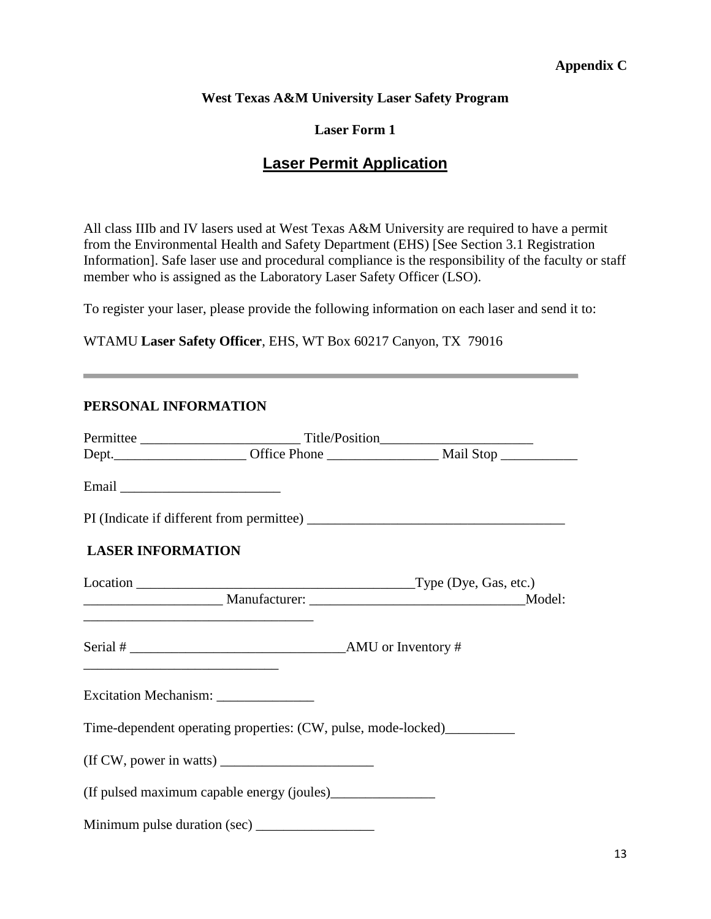**Appendix C**

#### <span id="page-12-0"></span>**West Texas A&M University Laser Safety Program**

#### **Laser Form 1**

# **Laser Permit Application**

All class IIIb and IV lasers used at West Texas A&M University are required to have a permit from the Environmental Health and Safety Department (EHS) [See Section 3.1 Registration Information]. Safe laser use and procedural compliance is the responsibility of the faculty or staff member who is assigned as the Laboratory Laser Safety Officer (LSO).

To register your laser, please provide the following information on each laser and send it to:

WTAMU **Laser Safety Officer**, EHS, WT Box 60217 Canyon, TX 79016

#### **PERSONAL INFORMATION**

| <b>LASER INFORMATION</b> |                                                                          |  |
|--------------------------|--------------------------------------------------------------------------|--|
|                          |                                                                          |  |
|                          |                                                                          |  |
|                          |                                                                          |  |
|                          | Excitation Mechanism: ________________                                   |  |
|                          | Time-dependent operating properties: (CW, pulse, mode-locked)___________ |  |
|                          |                                                                          |  |
|                          |                                                                          |  |
|                          |                                                                          |  |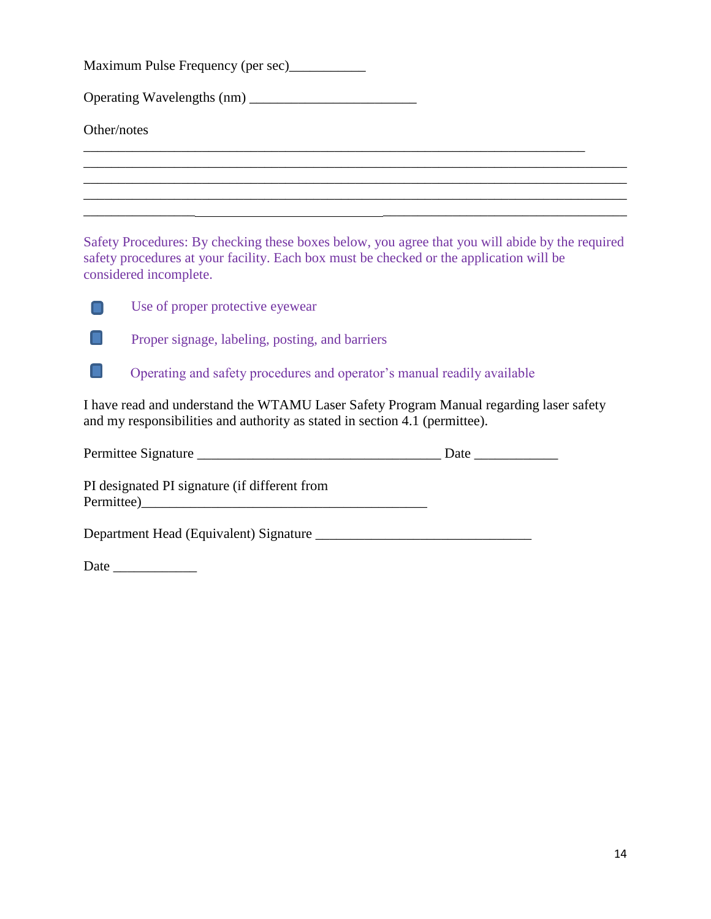Maximum Pulse Frequency (per sec)\_\_\_\_\_\_\_\_\_\_\_

Operating Wavelengths (nm) \_\_\_\_\_\_\_\_\_\_\_\_\_\_\_\_\_\_\_\_\_\_\_\_

#### Other/notes

Safety Procedures: By checking these boxes below, you agree that you will abide by the required safety procedures at your facility. Each box must be checked or the application will be considered incomplete.

\_\_\_\_\_\_\_\_\_\_\_\_\_\_\_\_\_\_\_\_\_\_\_\_\_\_\_\_\_\_\_\_\_\_\_\_\_\_\_\_\_\_\_\_\_\_\_\_\_\_\_\_\_\_\_\_\_\_\_\_\_\_\_\_\_\_\_\_\_\_\_\_\_\_\_\_\_\_ \_\_\_\_\_\_\_\_\_\_\_\_\_\_\_\_\_\_\_\_\_\_\_\_\_\_\_\_\_\_\_\_\_\_\_\_\_\_\_\_\_\_\_\_\_\_\_\_\_\_\_\_\_\_\_\_\_\_\_\_\_\_\_\_\_\_\_\_\_\_\_\_\_\_\_\_\_\_

\_\_\_\_\_\_\_\_\_\_\_\_\_\_\_\_\_\_\_\_\_\_\_\_\_\_\_\_\_\_\_\_\_\_\_\_\_\_\_\_\_\_\_\_\_\_\_\_\_\_\_\_\_\_\_\_\_\_\_\_\_\_\_\_\_\_\_\_\_\_\_\_



Use of proper protective eyewear

**Proper signage, labeling, posting, and barriers** 



Operating and safety procedures and operator's manual readily available

I have read and understand the WTAMU Laser Safety Program Manual regarding laser safety and my responsibilities and authority as stated in section 4.1 (permittee).

| Permittee Signature |  |
|---------------------|--|
|---------------------|--|

PI designated PI signature (if different from Permittee)\_\_\_\_\_\_\_\_\_\_\_\_\_\_\_\_\_\_\_\_\_\_\_\_\_\_\_\_\_\_\_\_\_\_\_\_\_\_\_\_\_

Department Head (Equivalent) Signature \_\_\_\_\_\_\_\_\_\_\_\_\_\_\_\_\_\_\_\_\_\_\_\_\_\_\_\_\_\_\_

Date \_\_\_\_\_\_\_\_\_\_\_\_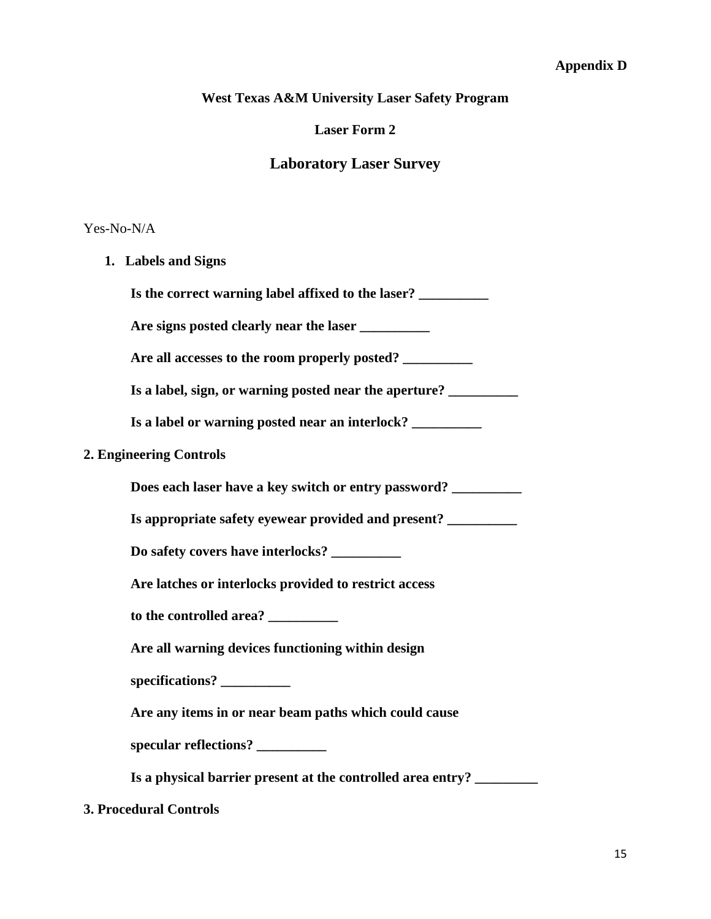#### **Appendix D**

<span id="page-14-0"></span>**West Texas A&M University Laser Safety Program**

**Laser Form 2**

#### **Laboratory Laser Survey**

#### Yes-No-N/A

**1. Labels and Signs**

**Is the correct warning label affixed to the laser? \_\_\_\_\_\_\_\_\_\_**

**Are signs posted clearly near the laser \_\_\_\_\_\_\_\_\_\_**

**Are all accesses to the room properly posted? \_\_\_\_\_\_\_\_\_\_**

**Is a label, sign, or warning posted near the aperture? \_\_\_\_\_\_\_\_\_\_**

**Is a label or warning posted near an interlock? \_\_\_\_\_\_\_\_\_\_**

#### **2. Engineering Controls**

**Does each laser have a key switch or entry password? \_\_\_\_\_\_\_\_\_\_**

Is appropriate safety eyewear provided and present?

**Do safety covers have interlocks? \_\_\_\_\_\_\_\_\_\_**

**Are latches or interlocks provided to restrict access**

**to the controlled area? \_\_\_\_\_\_\_\_\_\_**

**Are all warning devices functioning within design** 

**specifications? \_\_\_\_\_\_\_\_\_\_**

**Are any items in or near beam paths which could cause** 

**specular reflections? \_\_\_\_\_\_\_\_\_\_**

**Is a physical barrier present at the controlled area entry? \_\_\_\_\_\_\_\_\_**

#### **3. Procedural Controls**